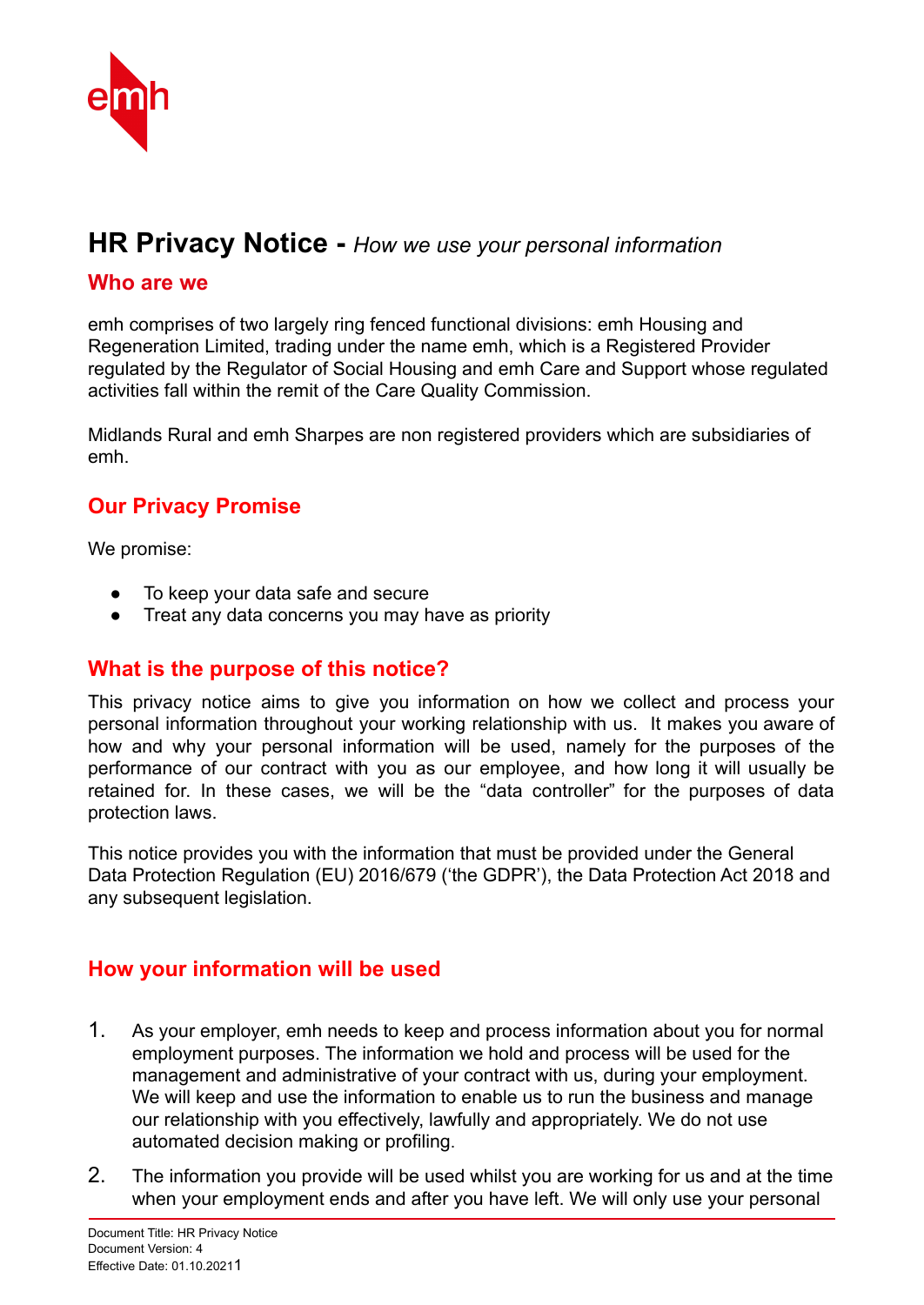

# **HR Privacy Notice -** *How we use your personal information*

#### **Who are we**

emh comprises of two largely ring fenced functional divisions: emh Housing and Regeneration Limited, trading under the name emh, which is a Registered Provider regulated by the Regulator of Social Housing and emh Care and Support whose regulated activities fall within the remit of the Care Quality Commission.

Midlands Rural and emh Sharpes are non registered providers which are subsidiaries of emh.

## **Our Privacy Promise**

We promise:

- To keep your data safe and secure
- Treat any data concerns you may have as priority

#### **What is the purpose of this notice?**

This privacy notice aims to give you information on how we collect and process your personal information throughout your working relationship with us. It makes you aware of how and why your personal information will be used, namely for the purposes of the performance of our contract with you as our employee, and how long it will usually be retained for. In these cases, we will be the "data controller" for the purposes of data protection laws.

This notice provides you with the information that must be provided under the General Data Protection Regulation (EU) 2016/679 ('the GDPR'), the Data Protection Act 2018 and any subsequent legislation.

### **How your information will be used**

- 1. As your employer, emh needs to keep and process information about you for normal employment purposes. The information we hold and process will be used for the management and administrative of your contract with us, during your employment. We will keep and use the information to enable us to run the business and manage our relationship with you effectively, lawfully and appropriately. We do not use automated decision making or profiling.
- 2. The information you provide will be used whilst you are working for us and at the time when your employment ends and after you have left. We will only use your personal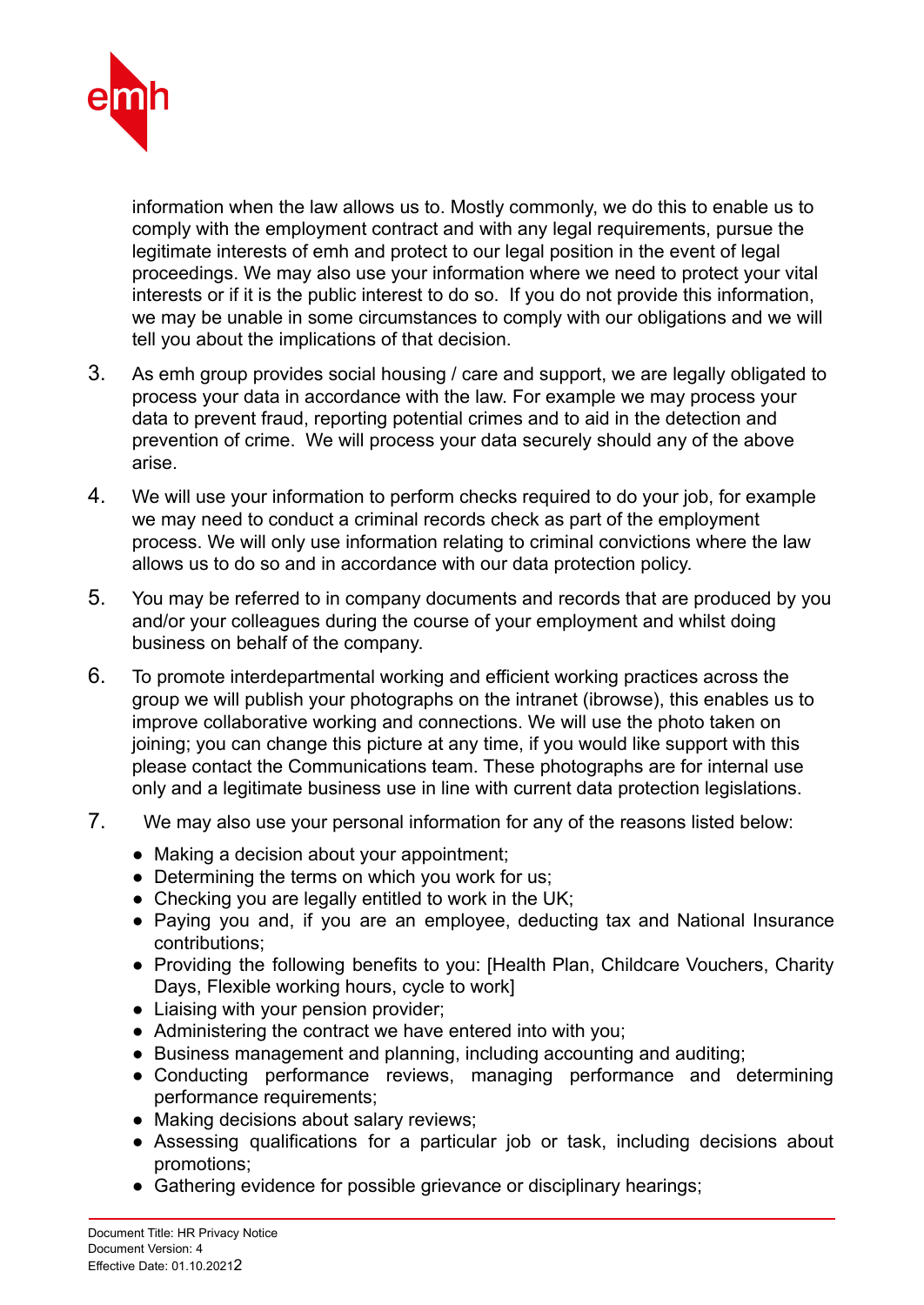

information when the law allows us to. Mostly commonly, we do this to enable us to comply with the employment contract and with any legal requirements, pursue the legitimate interests of emh and protect to our legal position in the event of legal proceedings. We may also use your information where we need to protect your vital interests or if it is the public interest to do so. If you do not provide this information, we may be unable in some circumstances to comply with our obligations and we will tell you about the implications of that decision.

- 3. As emh group provides social housing / care and support, we are legally obligated to process your data in accordance with the law. For example we may process your data to prevent fraud, reporting potential crimes and to aid in the detection and prevention of crime. We will process your data securely should any of the above arise.
- 4. We will use your information to perform checks required to do your job, for example we may need to conduct a criminal records check as part of the employment process. We will only use information relating to criminal convictions where the law allows us to do so and in accordance with our data protection policy.
- 5. You may be referred to in company documents and records that are produced by you and/or your colleagues during the course of your employment and whilst doing business on behalf of the company.
- 6. To promote interdepartmental working and efficient working practices across the group we will publish your photographs on the intranet (ibrowse), this enables us to improve collaborative working and connections. We will use the photo taken on joining; you can change this picture at any time, if you would like support with this please contact the Communications team. These photographs are for internal use only and a legitimate business use in line with current data protection legislations.
- 7. We may also use your personal information for any of the reasons listed below:
	- Making a decision about your appointment;
	- Determining the terms on which you work for us;
	- Checking you are legally entitled to work in the UK;
	- Paying you and, if you are an employee, deducting tax and National Insurance contributions;
	- Providing the following benefits to you: [Health Plan, Childcare Vouchers, Charity Days, Flexible working hours, cycle to work]
	- Liaising with your pension provider;
	- Administering the contract we have entered into with you;
	- Business management and planning, including accounting and auditing;
	- Conducting performance reviews, managing performance and determining performance requirements;
	- Making decisions about salary reviews;
	- Assessing qualifications for a particular job or task, including decisions about promotions;
	- Gathering evidence for possible grievance or disciplinary hearings;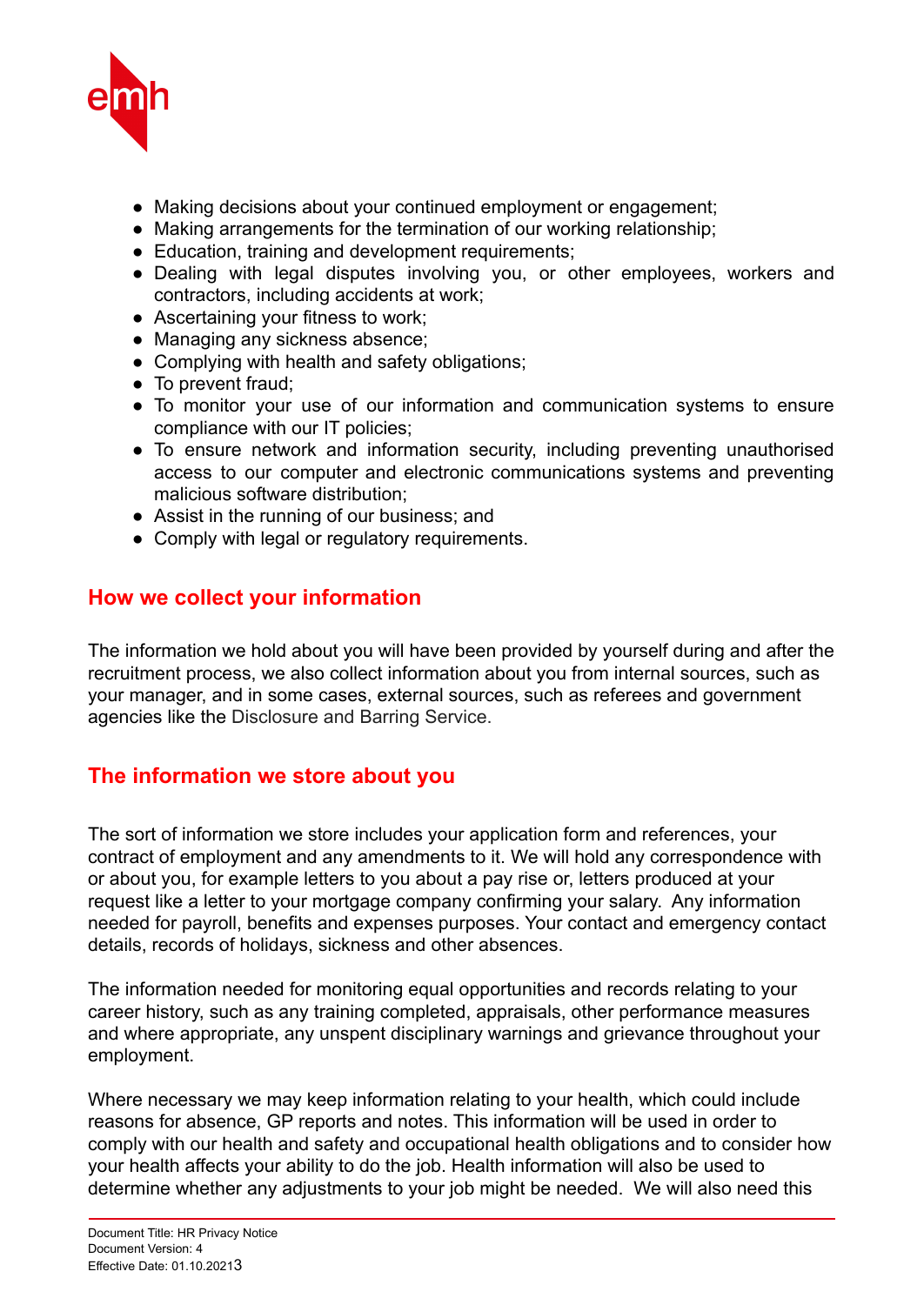

- Making decisions about your continued employment or engagement;
- Making arrangements for the termination of our working relationship;
- Education, training and development requirements;
- Dealing with legal disputes involving you, or other employees, workers and contractors, including accidents at work;
- Ascertaining your fitness to work;
- Managing any sickness absence;
- Complying with health and safety obligations;
- To prevent fraud;
- To monitor your use of our information and communication systems to ensure compliance with our IT policies;
- To ensure network and information security, including preventing unauthorised access to our computer and electronic communications systems and preventing malicious software distribution;
- Assist in the running of our business; and
- Comply with legal or regulatory requirements.

#### **How we collect your information**

The information we hold about you will have been provided by yourself during and after the recruitment process, we also collect information about you from internal sources, such as your manager, and in some cases, external sources, such as referees and government agencies like the Disclosure and Barring Service.

### **The information we store about you**

The sort of information we store includes your application form and references, your contract of employment and any amendments to it. We will hold any correspondence with or about you, for example letters to you about a pay rise or, letters produced at your request like a letter to your mortgage company confirming your salary. Any information needed for payroll, benefits and expenses purposes. Your contact and emergency contact details, records of holidays, sickness and other absences.

The information needed for monitoring equal opportunities and records relating to your career history, such as any training completed, appraisals, other performance measures and where appropriate, any unspent disciplinary warnings and grievance throughout your employment.

Where necessary we may keep information relating to your health, which could include reasons for absence, GP reports and notes. This information will be used in order to comply with our health and safety and occupational health obligations and to consider how your health affects your ability to do the job. Health information will also be used to determine whether any adjustments to your job might be needed. We will also need this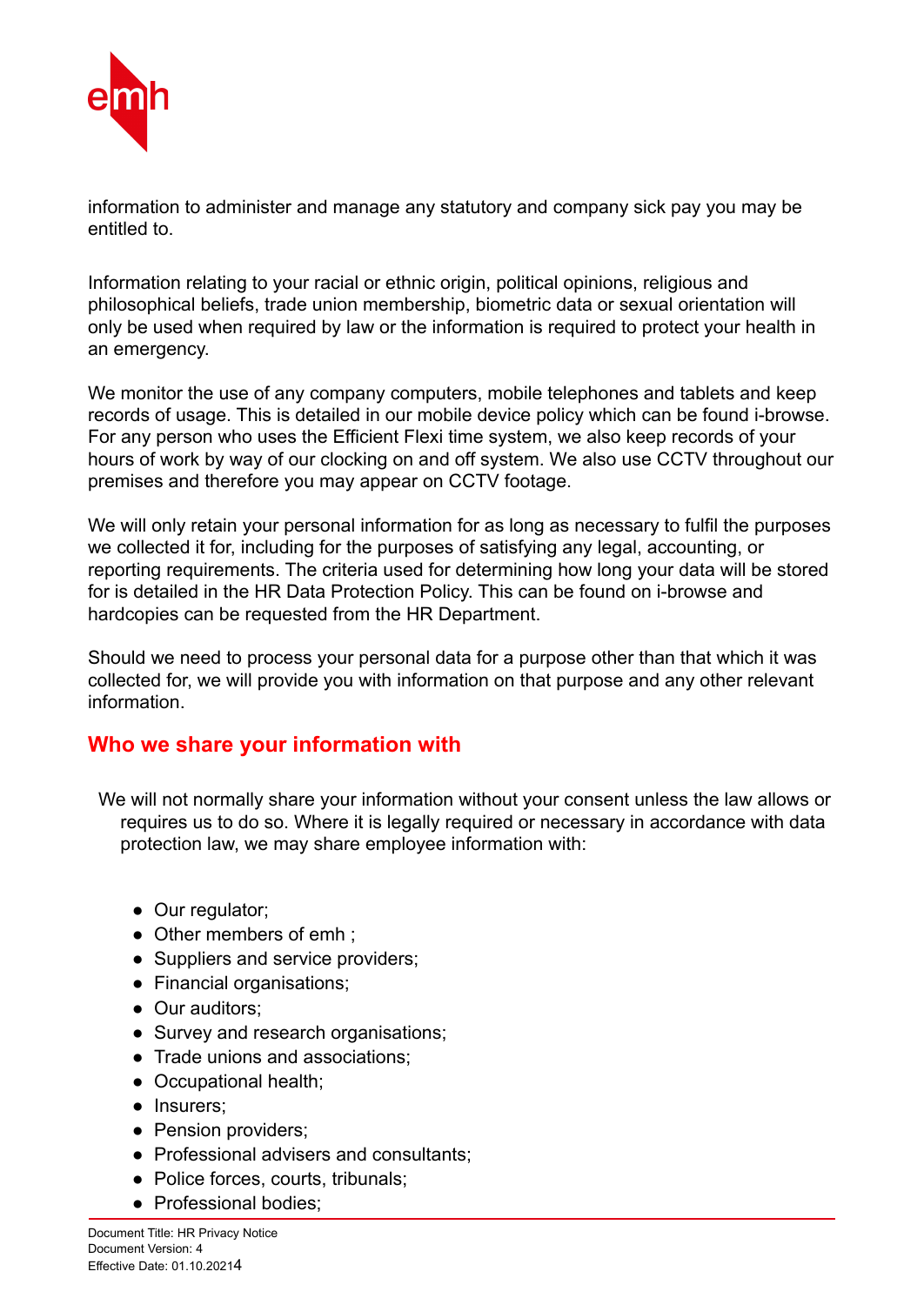

information to administer and manage any statutory and company sick pay you may be entitled to.

Information relating to your racial or ethnic origin, political opinions, religious and philosophical beliefs, trade union membership, biometric data or sexual orientation will only be used when required by law or the information is required to protect your health in an emergency.

We monitor the use of any company computers, mobile telephones and tablets and keep records of usage. This is detailed in our mobile device policy which can be found i-browse. For any person who uses the Efficient Flexi time system, we also keep records of your hours of work by way of our clocking on and off system. We also use CCTV throughout our premises and therefore you may appear on CCTV footage.

We will only retain your personal information for as long as necessary to fulfil the purposes we collected it for, including for the purposes of satisfying any legal, accounting, or reporting requirements. The criteria used for determining how long your data will be stored for is detailed in the HR Data Protection Policy. This can be found on i-browse and hardcopies can be requested from the HR Department.

Should we need to process your personal data for a purpose other than that which it was collected for, we will provide you with information on that purpose and any other relevant information.

#### **Who we share your information with**

We will not normally share your information without your consent unless the law allows or requires us to do so. Where it is legally required or necessary in accordance with data protection law, we may share employee information with:

- Our regulator;
- Other members of emh :
- Suppliers and service providers;
- Financial organisations;
- Our auditors:
- Survey and research organisations;
- Trade unions and associations;
- Occupational health;
- Insurers;
- Pension providers:
- Professional advisers and consultants;
- Police forces, courts, tribunals;
- Professional bodies;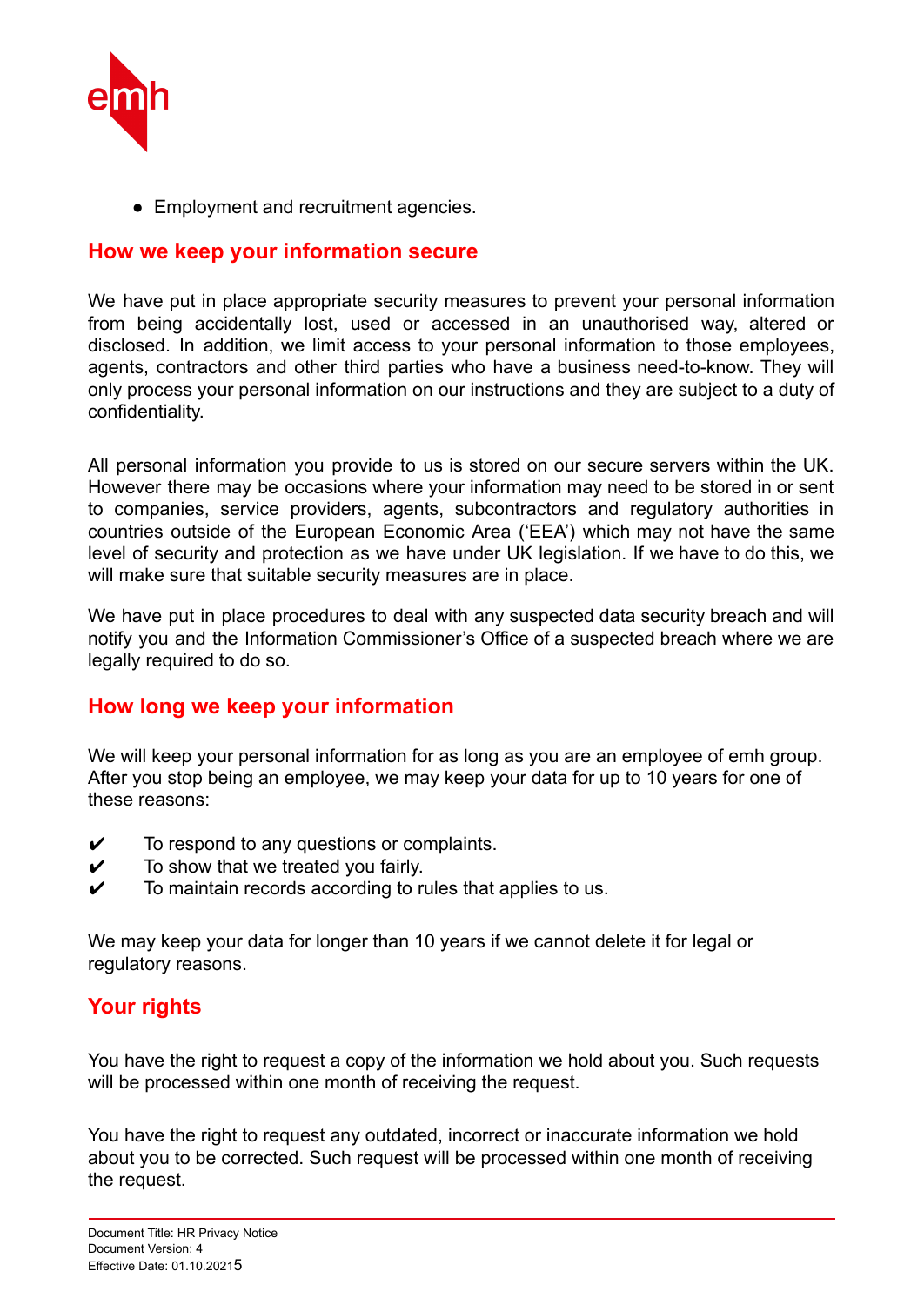

• Employment and recruitment agencies.

#### **How we keep your information secure**

We have put in place appropriate security measures to prevent your personal information from being accidentally lost, used or accessed in an unauthorised way, altered or disclosed. In addition, we limit access to your personal information to those employees, agents, contractors and other third parties who have a business need-to-know. They will only process your personal information on our instructions and they are subject to a duty of confidentiality.

All personal information you provide to us is stored on our secure servers within the UK. However there may be occasions where your information may need to be stored in or sent to companies, service providers, agents, subcontractors and regulatory authorities in countries outside of the European Economic Area ('EEA') which may not have the same level of security and protection as we have under UK legislation. If we have to do this, we will make sure that suitable security measures are in place.

We have put in place procedures to deal with any suspected data security breach and will notify you and the Information Commissioner's Office of a suspected breach where we are legally required to do so.

### **How long we keep your information**

We will keep your personal information for as long as you are an employee of emh group. After you stop being an employee, we may keep your data for up to 10 years for one of these reasons:

- $\checkmark$  To respond to any questions or complaints.
- $\checkmark$  To show that we treated you fairly.
- $\checkmark$  To maintain records according to rules that applies to us.

We may keep your data for longer than 10 years if we cannot delete it for legal or regulatory reasons.

## **Your rights**

You have the right to request a copy of the information we hold about you. Such requests will be processed within one month of receiving the request.

You have the right to request any outdated, incorrect or inaccurate information we hold about you to be corrected. Such request will be processed within one month of receiving the request.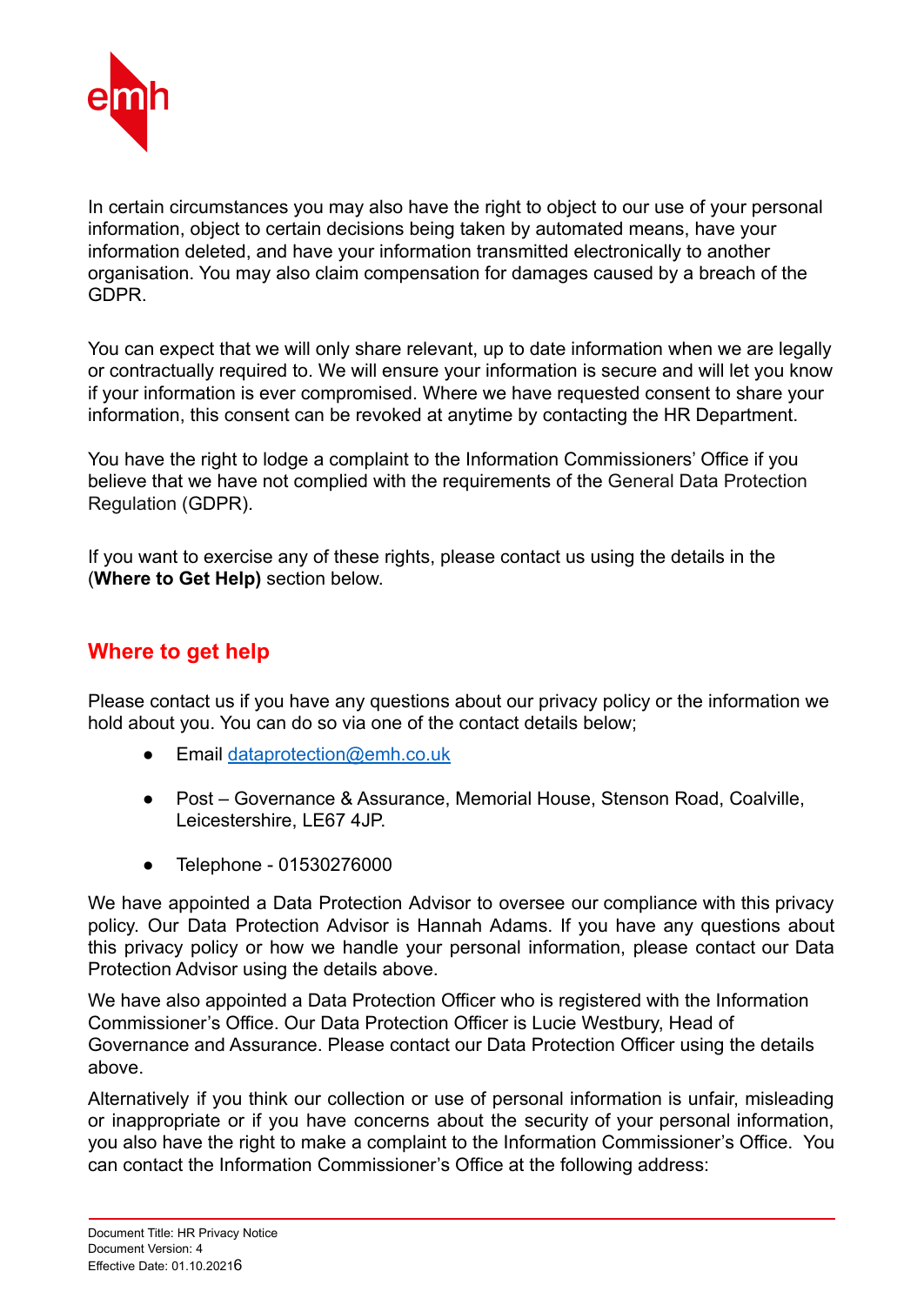

In certain circumstances you may also have the right to object to our use of your personal information, object to certain decisions being taken by automated means, have your information deleted, and have your information transmitted electronically to another organisation. You may also claim compensation for damages caused by a breach of the GDPR.

You can expect that we will only share relevant, up to date information when we are legally or contractually required to. We will ensure your information is secure and will let you know if your information is ever compromised. Where we have requested consent to share your information, this consent can be revoked at anytime by contacting the HR Department.

You have the right to lodge a complaint to the Information Commissioners' Office if you believe that we have not complied with the requirements of the General Data Protection Regulation (GDPR).

If you want to exercise any of these rights, please contact us using the details in the (**Where to Get Help)** section below.

### **Where to get help**

Please contact us if you have any questions about our privacy policy or the information we hold about you. You can do so via one of the contact details below;

- Email dataprotection@emh.co.uk
- Post Governance & Assurance, Memorial House, Stenson Road, Coalville, Leicestershire, LE67 4JP.
- Telephone 01530276000

We have appointed a Data Protection Advisor to oversee our compliance with this privacy policy. Our Data Protection Advisor is Hannah Adams. If you have any questions about this privacy policy or how we handle your personal information, please contact our Data Protection Advisor using the details above.

We have also appointed a Data Protection Officer who is registered with the Information Commissioner's Office. Our Data Protection Officer is Lucie Westbury, Head of Governance and Assurance. Please contact our Data Protection Officer using the details above.

Alternatively if you think our collection or use of personal information is unfair, misleading or inappropriate or if you have concerns about the security of your personal information, you also have the right to make a complaint to the Information Commissioner's Office. You can contact the Information Commissioner's Office at the following address: